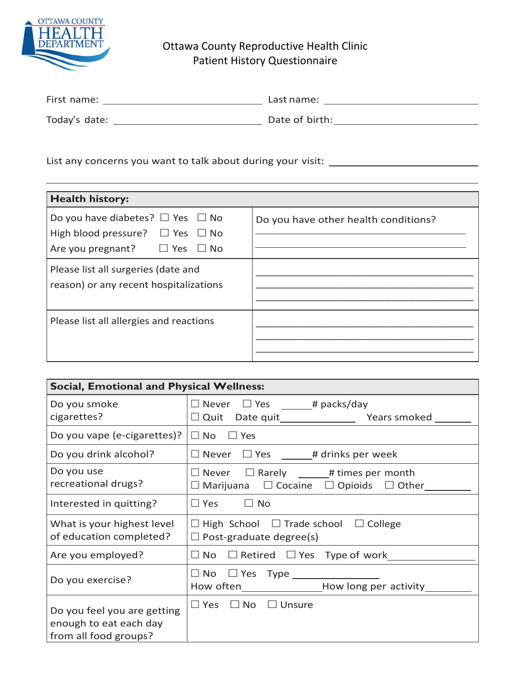

## Ottawa County Reproductive Health Clinic Patient History Questionnaire

| First name:   | Last name:     |
|---------------|----------------|
| Today's date: | Date of birth: |

List any concerns you want to talk about during your visit: \_\_\_\_\_\_\_\_\_\_\_\_\_\_\_\_\_\_\_\_

| <b>Health history:</b>                                                                                                            |                                      |  |  |  |
|-----------------------------------------------------------------------------------------------------------------------------------|--------------------------------------|--|--|--|
| Do you have diabetes? $\Box$ Yes $\Box$ No<br>High blood pressure? $\Box$ Yes $\Box$ No<br>Are you pregnant? $\Box$ Yes $\Box$ No | Do you have other health conditions? |  |  |  |
| Please list all surgeries (date and<br>reason) or any recent hospitalizations                                                     |                                      |  |  |  |
| Please list all allergies and reactions                                                                                           |                                      |  |  |  |

| <b>Social, Emotional and Physical Wellness:</b>                                |                                                                                                                  |  |  |
|--------------------------------------------------------------------------------|------------------------------------------------------------------------------------------------------------------|--|--|
| Do you smoke<br>cigarettes?                                                    | $\Box$ Never $\Box$ Yes _______# packs/day                                                                       |  |  |
| Do you vape (e-cigarettes)?                                                    | $\Box$ No $\Box$ Yes                                                                                             |  |  |
| Do you drink alcohol?                                                          | $\Box$ Never $\Box$ Yes ______# drinks per week                                                                  |  |  |
| Do you use<br>recreational drugs?                                              | $\Box$ Never $\Box$ Rarely _____# times per month<br>$\Box$ Marijuana $\Box$ Cocaine $\Box$ Opioids $\Box$ Other |  |  |
| Interested in quitting?                                                        | $\Box$ Yes<br>$\Box$ No                                                                                          |  |  |
| What is your highest level<br>of education completed?                          | $\Box$ High School $\Box$ Trade school $\Box$ College<br>$\Box$ Post-graduate degree(s)                          |  |  |
| Are you employed?                                                              | $\Box$ No $\Box$ Retired $\Box$ Yes Type of work                                                                 |  |  |
| Do you exercise?                                                               | How often_______________________How long per activity_                                                           |  |  |
| Do you feel you are getting<br>enough to eat each day<br>from all food groups? | $\Box$ Yes $\Box$ No $\Box$ Unsure                                                                               |  |  |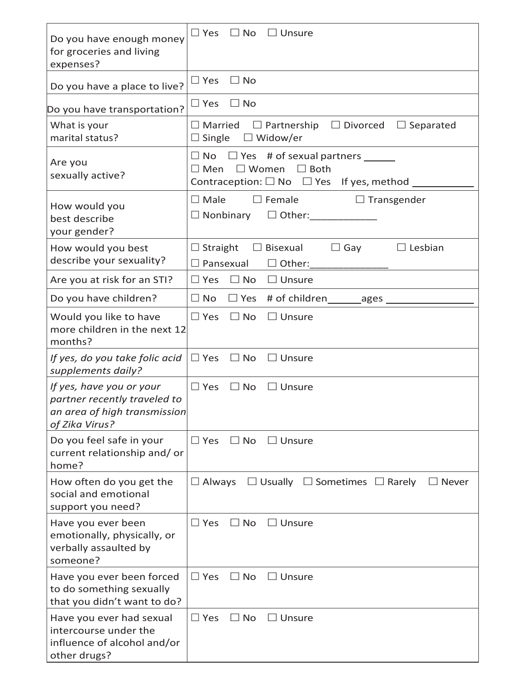| Do you have enough money<br>for groceries and living<br>expenses?                                          | $\square$ Yes<br>$\Box$ No<br>$\Box$ Unsure                                                                                                                         |
|------------------------------------------------------------------------------------------------------------|---------------------------------------------------------------------------------------------------------------------------------------------------------------------|
| Do you have a place to live?                                                                               | $\Box$ Yes<br>$\Box$ No                                                                                                                                             |
| Do you have transportation?<br>What is your<br>marital status?                                             | $\Box$ No<br>$\square$ Yes<br>$\Box$ Married $\Box$ Partnership $\Box$ Divorced $\Box$ Separated<br>$\Box$ Single $\Box$ Widow/er                                   |
| Are you<br>sexually active?                                                                                | $\Box$ No $\Box$ Yes # of sexual partners ______<br>$\Box$ Women $\Box$ Both<br>$\square$ Men<br>Contraception: $\square$ No $\square$ Yes If yes, method $\square$ |
| How would you<br>best describe<br>your gender?                                                             | $\square$ Male<br>$\Box$ Transgender<br>$\Box$ Female<br>$\Box$ Nonbinary $\Box$ Other:                                                                             |
| How would you best<br>describe your sexuality?                                                             | $\Box$ Straight $\Box$ Bisexual<br>$\Box$ Lesbian<br>$\Box$ Gay<br>Pansexual<br>$\Box$ Other:                                                                       |
| Are you at risk for an STI?                                                                                | $\Box$ No<br>$\Box$ Unsure<br>$\square$ Yes                                                                                                                         |
| Do you have children?                                                                                      | $\Box$ No<br>$\Box$ Yes # of children ________ ages _____                                                                                                           |
| Would you like to have<br>more children in the next 12<br>months?                                          | $\Box$ Yes $\Box$ No<br>$\Box$ Unsure                                                                                                                               |
| If yes, do you take folic acid<br>supplements daily?                                                       | $\Box$ Yes<br>$\Box$ No<br>$\Box$ Unsure                                                                                                                            |
| If yes, have you or your<br>partner recently traveled to<br>an area of high transmission<br>of Zika Virus? | $\Box$ Yes<br>$\Box$ No<br>$\Box$ Unsure                                                                                                                            |
| Do you feel safe in your<br>current relationship and/or<br>home?                                           | $\Box$ Yes<br>$\Box$ No<br>$\Box$ Unsure                                                                                                                            |
| How often do you get the<br>social and emotional<br>support you need?                                      | $\Box$ Usually $\Box$ Sometimes $\Box$ Rarely<br>Always<br>$\Box$ Never<br>$\mathsf{L}$                                                                             |
| Have you ever been<br>emotionally, physically, or<br>verbally assaulted by<br>someone?                     | $\Box$ Yes<br>$\Box$ No<br>$\Box$ Unsure                                                                                                                            |
| Have you ever been forced<br>to do something sexually<br>that you didn't want to do?                       | $\Box$ Yes<br>$\Box$ No<br>⊿ Unsure                                                                                                                                 |
| Have you ever had sexual<br>intercourse under the<br>influence of alcohol and/or<br>other drugs?           | $\Box$ Yes<br>$\Box$ No<br>$\sqsupset$ Unsure                                                                                                                       |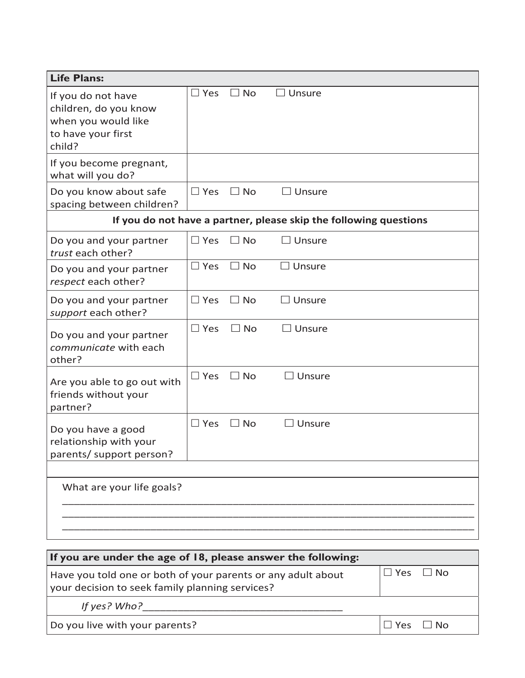| <b>Life Plans:</b>                                                                                 |               |           |                    |                                                                   |
|----------------------------------------------------------------------------------------------------|---------------|-----------|--------------------|-------------------------------------------------------------------|
| If you do not have<br>children, do you know<br>when you would like<br>to have your first<br>child? | $\Box$ Yes    | $\Box$ No | $\Box$ Unsure      |                                                                   |
| If you become pregnant,<br>what will you do?                                                       |               |           |                    |                                                                   |
| Do you know about safe<br>spacing between children?                                                | $\Box$ Yes    | $\Box$ No | $\Box$ Unsure      |                                                                   |
|                                                                                                    |               |           |                    | If you do not have a partner, please skip the following questions |
| Do you and your partner<br>trust each other?                                                       | $\Box$ Yes    | $\Box$ No | $\sqsupset$ Unsure |                                                                   |
| Do you and your partner<br>respect each other?                                                     | $\Box$ Yes    | $\Box$ No | $\square$ Unsure   |                                                                   |
| Do you and your partner<br>support each other?                                                     | $\Box$ Yes    | $\Box$ No | $\Box$ Unsure      |                                                                   |
| Do you and your partner<br>communicate with each<br>other?                                         | $\square$ Yes | $\Box$ No | $\Box$ Unsure      |                                                                   |
| Are you able to go out with<br>friends without your<br>partner?                                    | $\square$ Yes | $\Box$ No | <b>Unsure</b>      |                                                                   |
| Do you have a good<br>relationship with your<br>parents/ support person?                           | $\Box$ Yes    | $\Box$ No | Unsure             |                                                                   |
| What are your life goals?                                                                          |               |           |                    |                                                                   |

| If you are under the age of 18, please answer the following:                                                    |                      |  |  |  |
|-----------------------------------------------------------------------------------------------------------------|----------------------|--|--|--|
| Have you told one or both of your parents or any adult about<br>your decision to seek family planning services? | $\Box$ Yes $\Box$ No |  |  |  |
| If yes? Who?                                                                                                    |                      |  |  |  |
| Do you live with your parents?                                                                                  | $Yes \Box No$        |  |  |  |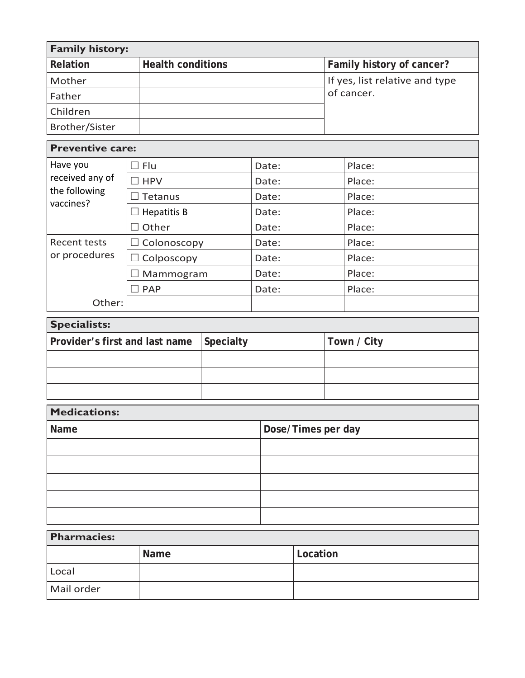| <b>Family history:</b>         |                    |                          |                    |                           |  |                                |
|--------------------------------|--------------------|--------------------------|--------------------|---------------------------|--|--------------------------------|
| Relation                       |                    | <b>Health conditions</b> |                    | Family history of cancer? |  |                                |
| Mother                         |                    |                          |                    |                           |  | If yes, list relative and type |
| Father                         |                    |                          |                    |                           |  | of cancer.                     |
| Children                       |                    |                          |                    |                           |  |                                |
| Brother/Sister                 |                    |                          |                    |                           |  |                                |
| <b>Preventive care:</b>        |                    |                          |                    |                           |  |                                |
| Have you                       | $\Box$ Flu         |                          | Date:              |                           |  | Place:                         |
| received any of                | $\exists$ HPV      |                          | Date:              |                           |  | Place:                         |
| the following<br>vaccines?     | Tetanus            |                          | Date:              |                           |  | Place:                         |
|                                | <b>Hepatitis B</b> |                          | Date:              |                           |  | Place:                         |
|                                | Other<br>٦         |                          | Date:              |                           |  | Place:                         |
| <b>Recent tests</b>            |                    | $\Box$ Colonoscopy       |                    | Date:                     |  | Place:                         |
| or procedures                  | Colposcopy         |                          |                    | Date:                     |  | Place:                         |
|                                |                    | Mammogram                |                    | Date:                     |  | Place:                         |
|                                | $\exists$ PAP      |                          | Date:              |                           |  | Place:                         |
| Other:                         |                    |                          |                    |                           |  |                                |
| <b>Specialists:</b>            |                    |                          |                    |                           |  |                                |
| Provider's first and last name |                    | Specialty                |                    | Town / City               |  |                                |
|                                |                    |                          |                    |                           |  |                                |
|                                |                    |                          |                    |                           |  |                                |
|                                |                    |                          |                    |                           |  |                                |
| <b>Medications:</b>            |                    |                          |                    |                           |  |                                |
| Name                           |                    |                          | Dose/Times per day |                           |  |                                |
|                                |                    |                          |                    |                           |  |                                |
|                                |                    |                          |                    |                           |  |                                |
|                                |                    |                          |                    |                           |  |                                |
|                                |                    |                          |                    |                           |  |                                |
|                                |                    |                          |                    |                           |  |                                |
| <b>Pharmacies:</b>             |                    |                          |                    |                           |  |                                |
| Name                           |                    |                          |                    | Location                  |  |                                |

Local

Mail order